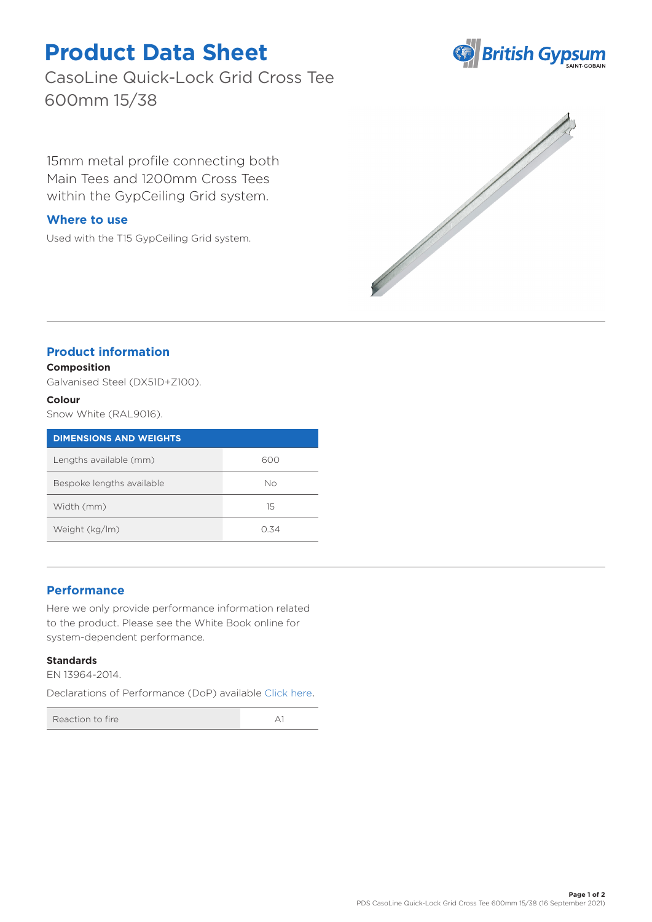# **Product Data Sheet**

CasoLine Quick-Lock Grid Cross Tee 600mm 15/38

15mm metal profile connecting both Main Tees and 1200mm Cross Tees within the GypCeiling Grid system.

### **Where to use**

Used with the T15 GypCeiling Grid system.





## **Product information**

#### **Composition**

Galvanised Steel (DX51D+Z100).

#### **Colour**

Snow White (RAL9016).

| <b>DIMENSIONS AND WEIGHTS</b> |      |
|-------------------------------|------|
| Lengths available (mm)        | 600  |
| Bespoke lengths available     | Nο   |
| Width (mm)                    | 15   |
| Weight (kg/lm)                | O 34 |

## **Performance**

Here we only provide performance information related to the product. Please see the White Book online for system-dependent performance.

#### **Standards**

EN 13964-2014.

Declarations of Performance (DoP) availabl[e Click here](https://www.british-gypsum.com/DoP).

Reaction to fire A1